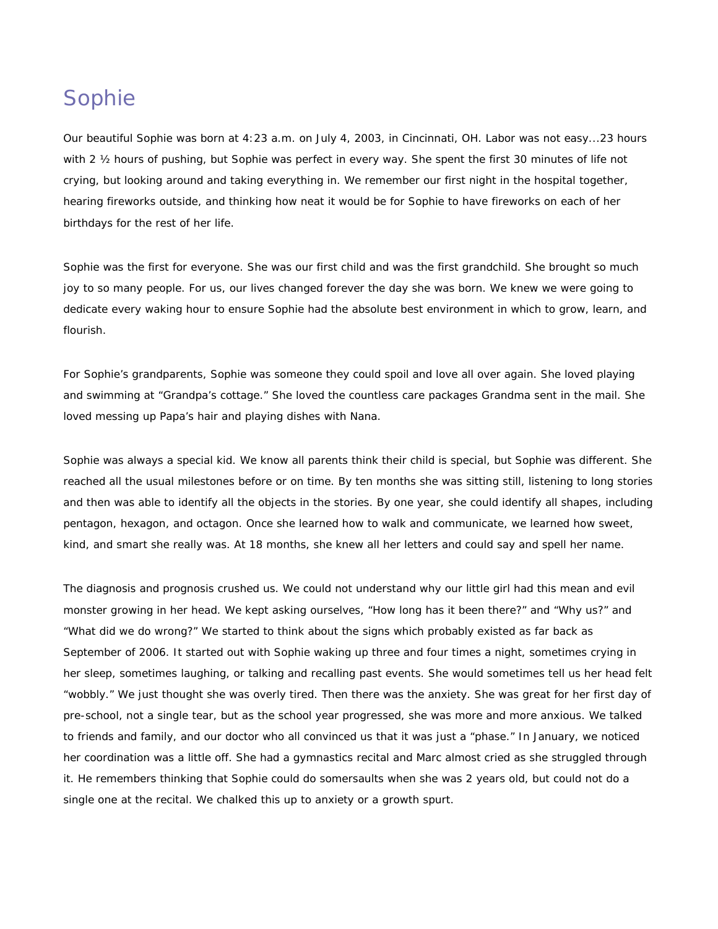## Sophie

Our beautiful Sophie was born at 4:23 a.m. on July 4, 2003, in Cincinnati, OH. Labor was not easy...23 hours with 2 1/2 hours of pushing, but Sophie was perfect in every way. She spent the first 30 minutes of life not crying, but looking around and taking everything in. We remember our first night in the hospital together, hearing fireworks outside, and thinking how neat it would be for Sophie to have fireworks on each of her birthdays for the rest of her life.

Sophie was the first for everyone. She was our first child and was the first grandchild. She brought so much joy to so many people. For us, our lives changed forever the day she was born. We knew we were going to dedicate every waking hour to ensure Sophie had the absolute best environment in which to grow, learn, and flourish.

For Sophie's grandparents, Sophie was someone they could spoil and love all over again. She loved playing and swimming at "Grandpa's cottage." She loved the countless care packages Grandma sent in the mail. She loved messing up Papa's hair and playing dishes with Nana.

Sophie was always a special kid. We know all parents think their child is special, but Sophie was different. She reached all the usual milestones before or on time. By ten months she was sitting still, listening to long stories and then was able to identify all the objects in the stories. By one year, she could identify all shapes, including pentagon, hexagon, and octagon. Once she learned how to walk and communicate, we learned how sweet, kind, and smart she really was. At 18 months, she knew all her letters and could say and spell her name.

The diagnosis and prognosis crushed us. We could not understand why our little girl had this mean and evil monster growing in her head. We kept asking ourselves, "How long has it been there?" and "Why us?" and "What did we do wrong?" We started to think about the signs which probably existed as far back as September of 2006. It started out with Sophie waking up three and four times a night, sometimes crying in her sleep, sometimes laughing, or talking and recalling past events. She would sometimes tell us her head felt "wobbly." We just thought she was overly tired. Then there was the anxiety. She was great for her first day of pre-school, not a single tear, but as the school year progressed, she was more and more anxious. We talked to friends and family, and our doctor who all convinced us that it was just a "phase." In January, we noticed her coordination was a little off. She had a gymnastics recital and Marc almost cried as she struggled through it. He remembers thinking that Sophie could do somersaults when she was 2 years old, but could not do a single one at the recital. We chalked this up to anxiety or a growth spurt.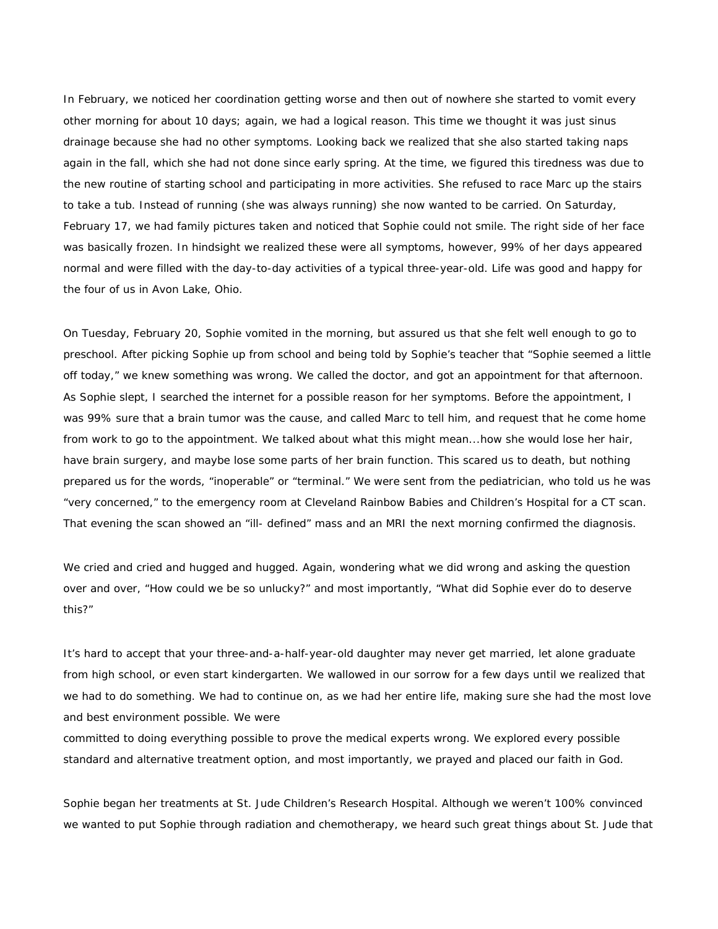In February, we noticed her coordination getting worse and then out of nowhere she started to vomit every other morning for about 10 days; again, we had a logical reason. This time we thought it was just sinus drainage because she had no other symptoms. Looking back we realized that she also started taking naps again in the fall, which she had not done since early spring. At the time, we figured this tiredness was due to the new routine of starting school and participating in more activities. She refused to race Marc up the stairs to take a tub. Instead of running (she was always running) she now wanted to be carried. On Saturday, February 17, we had family pictures taken and noticed that Sophie could not smile. The right side of her face was basically frozen. In hindsight we realized these were all symptoms, however, 99% of her days appeared normal and were filled with the day-to-day activities of a typical three-year-old. Life was good and happy for the four of us in Avon Lake, Ohio.

On Tuesday, February 20, Sophie vomited in the morning, but assured us that she felt well enough to go to preschool. After picking Sophie up from school and being told by Sophie's teacher that "Sophie seemed a little off today," we knew something was wrong. We called the doctor, and got an appointment for that afternoon. As Sophie slept, I searched the internet for a possible reason for her symptoms. Before the appointment, I was 99% sure that a brain tumor was the cause, and called Marc to tell him, and request that he come home from work to go to the appointment. We talked about what this might mean...how she would lose her hair, have brain surgery, and maybe lose some parts of her brain function. This scared us to death, but nothing prepared us for the words, "inoperable" or "terminal." We were sent from the pediatrician, who told us he was "very concerned," to the emergency room at Cleveland Rainbow Babies and Children's Hospital for a CT scan. That evening the scan showed an "ill- defined" mass and an MRI the next morning confirmed the diagnosis.

We cried and cried and hugged and hugged. Again, wondering what we did wrong and asking the question over and over, "How could we be so unlucky?" and most importantly, "What did Sophie ever do to deserve this?"

It's hard to accept that your three-and-a-half-year-old daughter may never get married, let alone graduate from high school, or even start kindergarten. We wallowed in our sorrow for a few days until we realized that we had to do something. We had to continue on, as we had her entire life, making sure she had the most love and best environment possible. We were

committed to doing everything possible to prove the medical experts wrong. We explored every possible standard and alternative treatment option, and most importantly, we prayed and placed our faith in God.

Sophie began her treatments at St. Jude Children's Research Hospital. Although we weren't 100% convinced we wanted to put Sophie through radiation and chemotherapy, we heard such great things about St. Jude that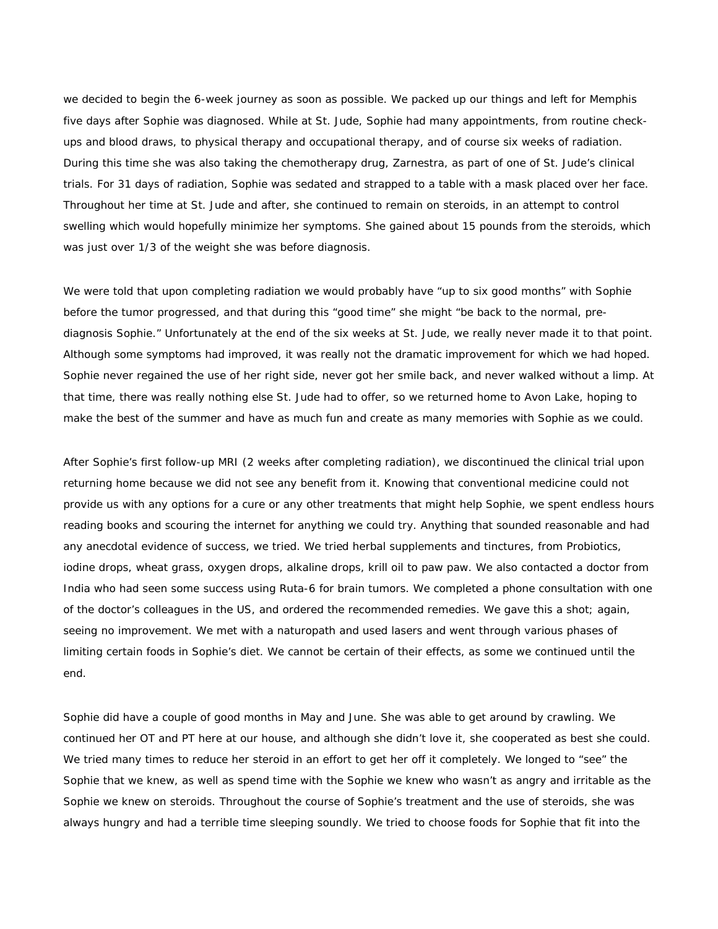we decided to begin the 6-week journey as soon as possible. We packed up our things and left for Memphis five days after Sophie was diagnosed. While at St. Jude, Sophie had many appointments, from routine checkups and blood draws, to physical therapy and occupational therapy, and of course six weeks of radiation. During this time she was also taking the chemotherapy drug, Zarnestra, as part of one of St. Jude's clinical trials. For 31 days of radiation, Sophie was sedated and strapped to a table with a mask placed over her face. Throughout her time at St. Jude and after, she continued to remain on steroids, in an attempt to control swelling which would hopefully minimize her symptoms. She gained about 15 pounds from the steroids, which was just over 1/3 of the weight she was before diagnosis.

We were told that upon completing radiation we would probably have "up to six good months" with Sophie before the tumor progressed, and that during this "good time" she might "be back to the normal, prediagnosis Sophie." Unfortunately at the end of the six weeks at St. Jude, we really never made it to that point. Although some symptoms had improved, it was really not the dramatic improvement for which we had hoped. Sophie never regained the use of her right side, never got her smile back, and never walked without a limp. At that time, there was really nothing else St. Jude had to offer, so we returned home to Avon Lake, hoping to make the best of the summer and have as much fun and create as many memories with Sophie as we could.

After Sophie's first follow-up MRI (2 weeks after completing radiation), we discontinued the clinical trial upon returning home because we did not see any benefit from it. Knowing that conventional medicine could not provide us with any options for a cure or any other treatments that might help Sophie, we spent endless hours reading books and scouring the internet for anything we could try. Anything that sounded reasonable and had any anecdotal evidence of success, we tried. We tried herbal supplements and tinctures, from Probiotics, iodine drops, wheat grass, oxygen drops, alkaline drops, krill oil to paw paw. We also contacted a doctor from India who had seen some success using Ruta-6 for brain tumors. We completed a phone consultation with one of the doctor's colleagues in the US, and ordered the recommended remedies. We gave this a shot; again, seeing no improvement. We met with a naturopath and used lasers and went through various phases of limiting certain foods in Sophie's diet. We cannot be certain of their effects, as some we continued until the end.

Sophie did have a couple of good months in May and June. She was able to get around by crawling. We continued her OT and PT here at our house, and although she didn't love it, she cooperated as best she could. We tried many times to reduce her steroid in an effort to get her off it completely. We longed to "see" the Sophie that we knew, as well as spend time with the Sophie we knew who wasn't as angry and irritable as the Sophie we knew on steroids. Throughout the course of Sophie's treatment and the use of steroids, she was always hungry and had a terrible time sleeping soundly. We tried to choose foods for Sophie that fit into the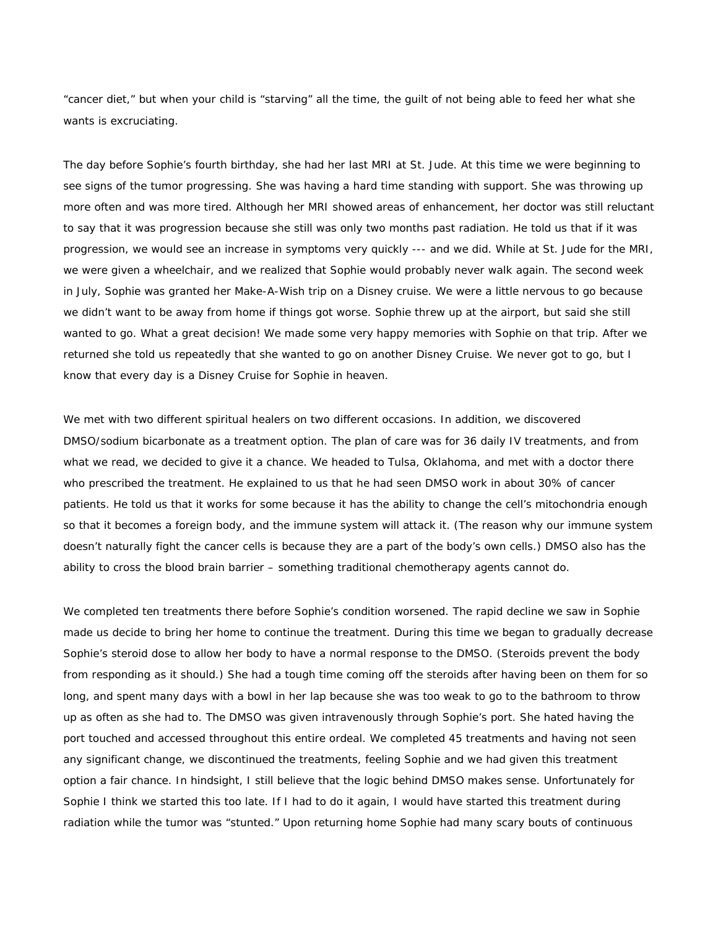"cancer diet," but when your child is "starving" all the time, the guilt of not being able to feed her what she wants is excruciating.

The day before Sophie's fourth birthday, she had her last MRI at St. Jude. At this time we were beginning to see signs of the tumor progressing. She was having a hard time standing with support. She was throwing up more often and was more tired. Although her MRI showed areas of enhancement, her doctor was still reluctant to say that it was progression because she still was only two months past radiation. He told us that if it was progression, we would see an increase in symptoms very quickly --- and we did. While at St. Jude for the MRI, we were given a wheelchair, and we realized that Sophie would probably never walk again. The second week in July, Sophie was granted her Make-A-Wish trip on a Disney cruise. We were a little nervous to go because we didn't want to be away from home if things got worse. Sophie threw up at the airport, but said she still wanted to go. What a great decision! We made some very happy memories with Sophie on that trip. After we returned she told us repeatedly that she wanted to go on another Disney Cruise. We never got to go, but I know that every day is a Disney Cruise for Sophie in heaven.

We met with two different spiritual healers on two different occasions. In addition, we discovered DMSO/sodium bicarbonate as a treatment option. The plan of care was for 36 daily IV treatments, and from what we read, we decided to give it a chance. We headed to Tulsa, Oklahoma, and met with a doctor there who prescribed the treatment. He explained to us that he had seen DMSO work in about 30% of cancer patients. He told us that it works for some because it has the ability to change the cell's mitochondria enough so that it becomes a foreign body, and the immune system will attack it. (The reason why our immune system doesn't naturally fight the cancer cells is because they are a part of the body's own cells.) DMSO also has the ability to cross the blood brain barrier – something traditional chemotherapy agents cannot do.

We completed ten treatments there before Sophie's condition worsened. The rapid decline we saw in Sophie made us decide to bring her home to continue the treatment. During this time we began to gradually decrease Sophie's steroid dose to allow her body to have a normal response to the DMSO. (Steroids prevent the body from responding as it should.) She had a tough time coming off the steroids after having been on them for so long, and spent many days with a bowl in her lap because she was too weak to go to the bathroom to throw up as often as she had to. The DMSO was given intravenously through Sophie's port. She hated having the port touched and accessed throughout this entire ordeal. We completed 45 treatments and having not seen any significant change, we discontinued the treatments, feeling Sophie and we had given this treatment option a fair chance. In hindsight, I still believe that the logic behind DMSO makes sense. Unfortunately for Sophie I think we started this too late. If I had to do it again, I would have started this treatment during radiation while the tumor was "stunted." Upon returning home Sophie had many scary bouts of continuous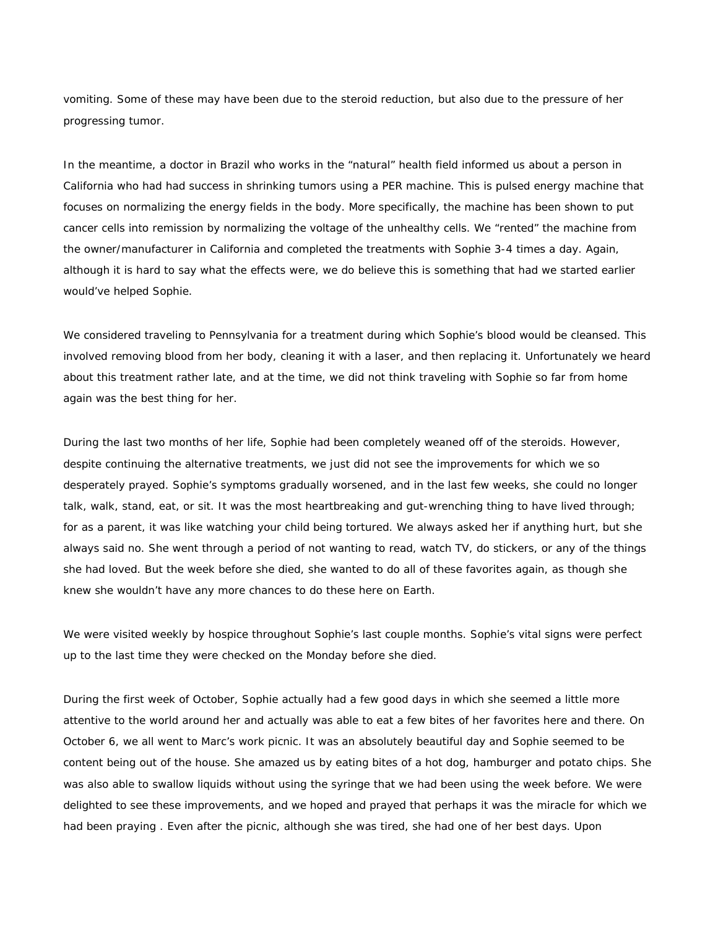vomiting. Some of these may have been due to the steroid reduction, but also due to the pressure of her progressing tumor.

In the meantime, a doctor in Brazil who works in the "natural" health field informed us about a person in California who had had success in shrinking tumors using a PER machine. This is pulsed energy machine that focuses on normalizing the energy fields in the body. More specifically, the machine has been shown to put cancer cells into remission by normalizing the voltage of the unhealthy cells. We "rented" the machine from the owner/manufacturer in California and completed the treatments with Sophie 3-4 times a day. Again, although it is hard to say what the effects were, we do believe this is something that had we started earlier would've helped Sophie.

We considered traveling to Pennsylvania for a treatment during which Sophie's blood would be cleansed. This involved removing blood from her body, cleaning it with a laser, and then replacing it. Unfortunately we heard about this treatment rather late, and at the time, we did not think traveling with Sophie so far from home again was the best thing for her.

During the last two months of her life, Sophie had been completely weaned off of the steroids. However, despite continuing the alternative treatments, we just did not see the improvements for which we so desperately prayed. Sophie's symptoms gradually worsened, and in the last few weeks, she could no longer talk, walk, stand, eat, or sit. It was the most heartbreaking and gut-wrenching thing to have lived through; for as a parent, it was like watching your child being tortured. We always asked her if anything hurt, but she always said no. She went through a period of not wanting to read, watch TV, do stickers, or any of the things she had loved. But the week before she died, she wanted to do all of these favorites again, as though she knew she wouldn't have any more chances to do these here on Earth.

We were visited weekly by hospice throughout Sophie's last couple months. Sophie's vital signs were perfect up to the last time they were checked on the Monday before she died.

During the first week of October, Sophie actually had a few good days in which she seemed a little more attentive to the world around her and actually was able to eat a few bites of her favorites here and there. On October 6, we all went to Marc's work picnic. It was an absolutely beautiful day and Sophie seemed to be content being out of the house. She amazed us by eating bites of a hot dog, hamburger and potato chips. She was also able to swallow liquids without using the syringe that we had been using the week before. We were delighted to see these improvements, and we hoped and prayed that perhaps it was the miracle for which we had been praying . Even after the picnic, although she was tired, she had one of her best days. Upon